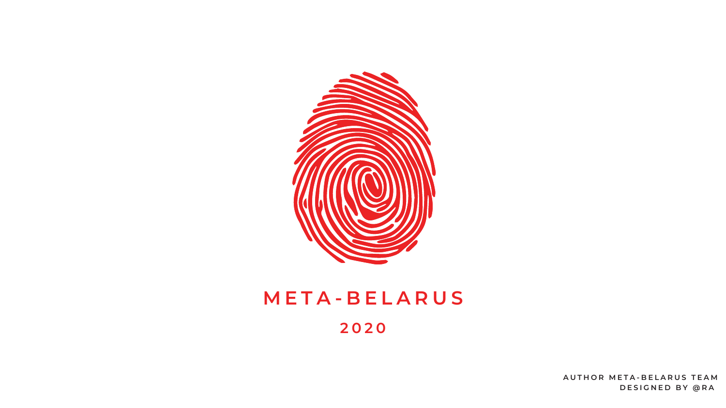$A$  **UTHOR META-BELARUS TEAM D E S I G N E D B Y @ R A**



# **M E T A - B E L A R U S 2 0 2 0**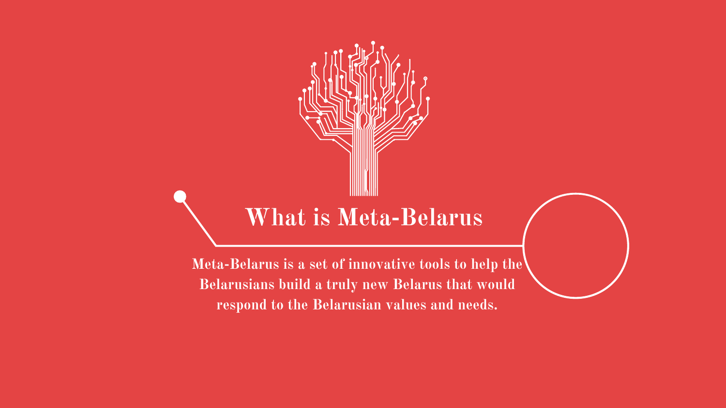**Meta-Belarus is a set of innovative tools to help the Belarusians build a truly new Belarus that would respond to the Belarusian values and needs.**





# **What is Meta-Belarus**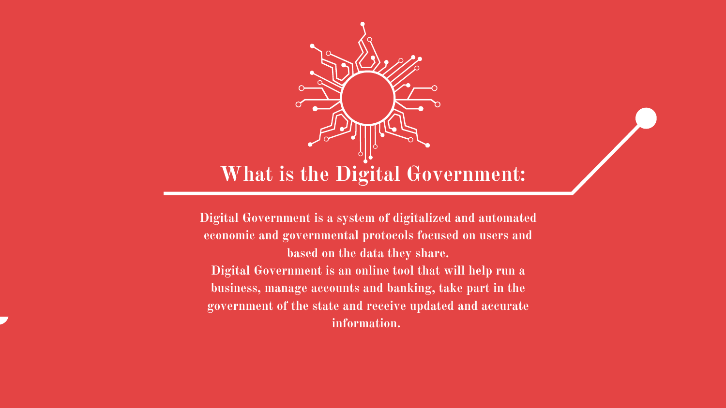**Digital Government is a system of digitalized and automated economic and governmental protocols focused on users and based on the data they share. Digital Government is an online tool that will help run a business, manage accounts and banking, take part in the government of the state and receive updated and accurate information.**



## **What is the Digital Government:**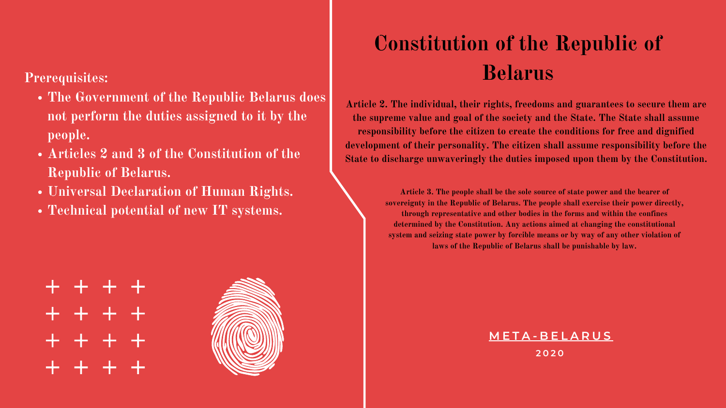- **The Government of the Republic Belarus does not perform the duties assigned to it by the people.**
- **Articles 2 and 3 of the Constitution of the Republic of Belarus.**
- **Universal Declaration of Human Rights.**
- **Technical potential of new IT systems.**





#### **Prerequisites:**

**Article 3. The people shall be the sole source of state power and the bearer of sovereignty in the Republic of Belarus. The people shall exercise their power directly, through representative and other bodies in the forms and within the confines determined by the Constitution. Any actions aimed at changing the constitutional system and seizing state power by forcible means or by way of any other violation of laws of the Republic of Belarus shall be punishable by law.**

**Article 2. The individual, their rights, freedoms and guarantees to secure them are the supreme value and goal of the society and the State. The State shall assume responsibility before the citizen to create the conditions for free and dignified development of their personality. The citizen shall assume responsibility before the State to discharge unwaveringly the duties imposed upon them by the Constitution.**

#### **M E T A - B E L A R U S**

**2 0 2 0**

# **Constitution of the Republic of Belarus**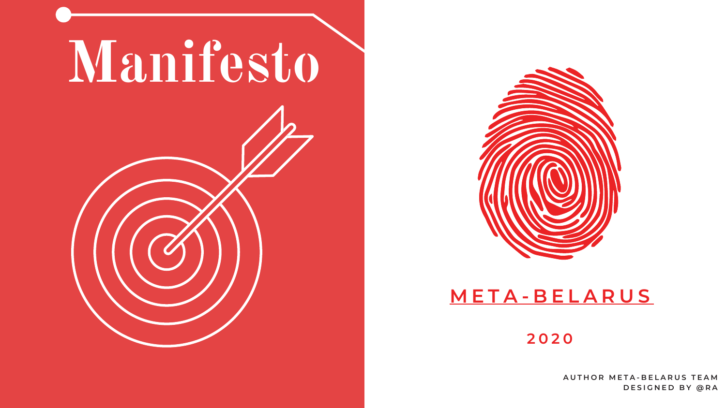



## **M E T A - B E L A R U S**

 $A$  **UTHOR META-BELARUS TEAM D E S I G N E D B Y @ R A**

#### **2 0 2 0**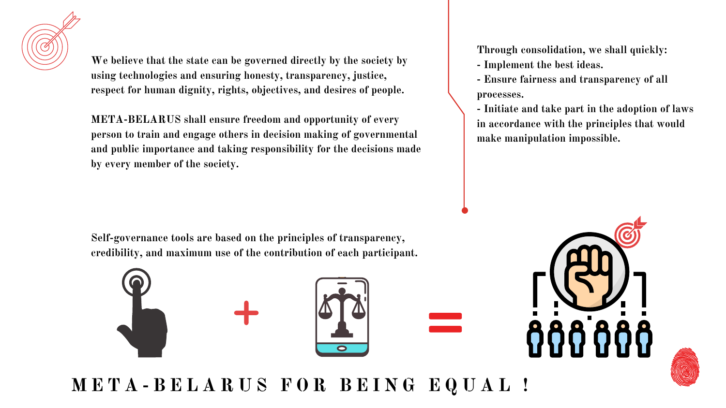

**We believe that the state can be governed directly by the society by using technologies and ensuring honesty, transparency, justice, respect for human dignity, rights, objectives, and desires of people.**

**META-BELARUS shall ensure freedom and opportunity of every person to train and engage others in decision making of governmental and public importance and taking responsibility for the decisions made by every member of the society.**

**Through consolidation, we shall quickly:**

- **- Implement the best ideas.**
- **- Ensure fairness and transparency of all processes.**
- **- Initiate and take part in the adoption of laws in accordance with the principles that would make manipulation impossible.**





**Self-governance tools are based on the principles of transparency, credibility, and maximum use of the contribution of each participant.**



META-BELARUS FOR BEING EQUAL!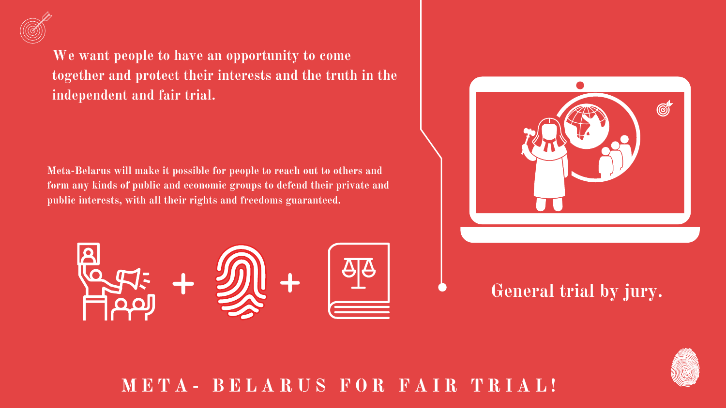**Meta-Belarus will make it possible for people to reach out to others and form any kinds of public and economic groups to defend their private and publiс interests, with all their rights and freedoms guaranteed.**





**We want people to have an opportunity to come together and protect their interests and the truth in the independent and fair trial.**

## **General trial by jury.**





**M E T A - B E L A R U S F O R F A I R T R I A L !**

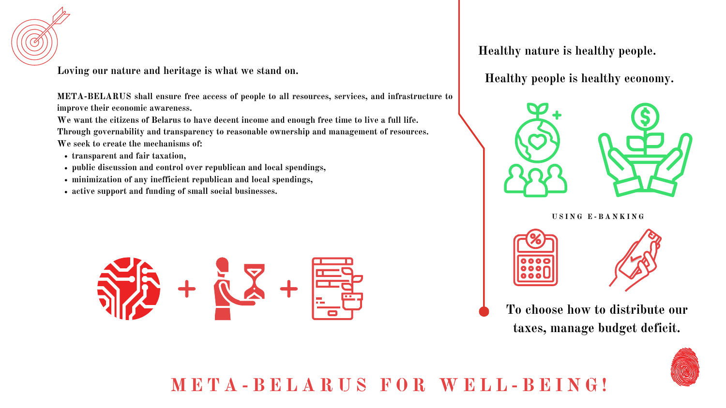- **transparent and fair taxation,**
- **public discussion and control over republican and local spendings,**
- **minimization of any inefficient republican and local spendings,**
- **active support and funding of small social businesses.**



## META-BELARUS FOR WELL-BEING!



**Loving our nature and heritage is what we stand on.**

We want the citizens of Belarus to have decent income and enough free time to live a full life. **Through governability and transparency to reasonable ownership and management of resources. We seek to create the mechanisms of:**

**META-BELARUS shall ensure free access of people to all resources, services, and infrastructure to improve their economic awareness.**

#### **Healthy nature is healthy people.**

**To choose how to distribute our taxes, manage budget deficit.**



#### **Healthy people is healthy economy.**

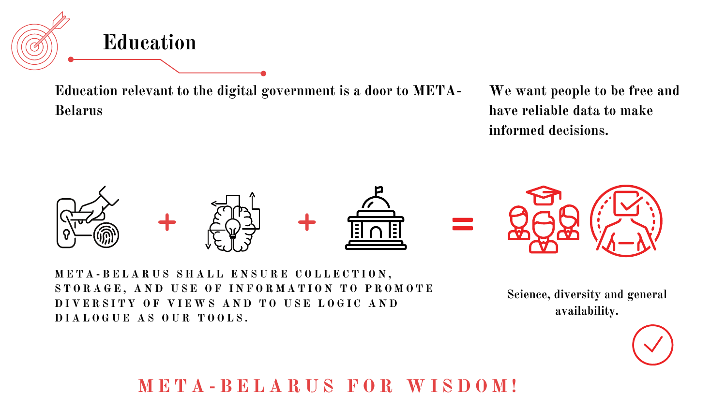**Education relevant to the digital government is a door to META-Belarus**





META-BELARUS SHALL ENSURE COLLECTION, STORAGE, AND USE OF INFORMATION TO PROMOTE DIVERSITY OF VIEWS AND TO USE LOGIC AND **D I A L O G U E A S O U R T O O L S .**

**M E T A - B E L A R U S F O R W I S D O M !**

**Science, diversity and general availability.**





**We want people to be free and have reliable data to make informed decisions.**

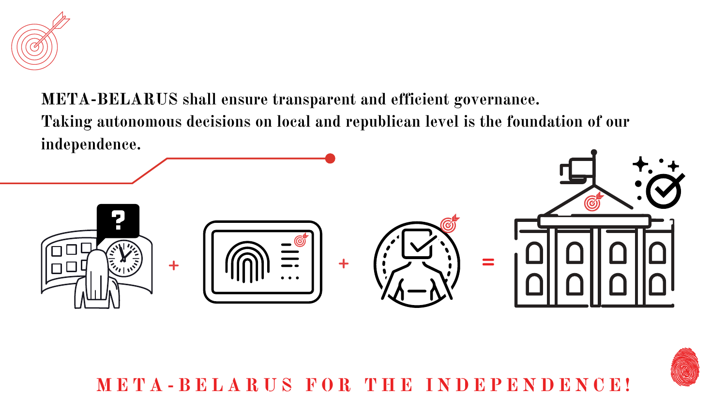

## **META-BELARUS shall ensure transparent and efficient governance. Taking autonomous decisions on local and republican level is the foundation of our independence.**



META-BELARUS FOR THE INDEPENDENCE!